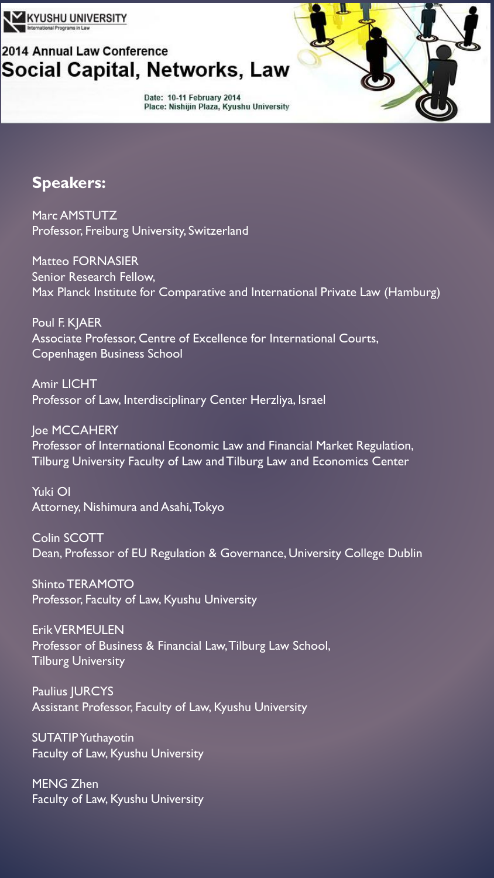

## 2014 Annual Law Conference Social Capital, Networks, Law

Date: 10-11 February 2014 Place: Nishijin Plaza, Kyushu University

## **Speakers:**

Marc AMSTUTZ Professor, Freiburg University, Switzerland

Matteo FORNASIER Senior Research Fellow, Max Planck Institute for Comparative and International Private Law (Hamburg)

Poul F. KJAER Associate Professor, Centre of Excellence for International Courts, Copenhagen Business School

Amir LICHT Professor of Law, Interdisciplinary Center Herzliya, Israel

**Joe MCCAHERY** Professor of International Economic Law and Financial Market Regulation, Tilburg University Faculty of Law and Tilburg Law and Economics Center

Yuki OI Attorney, Nishimura and Asahi, Tokyo

Colin SCOTT Dean, Professor of EU Regulation & Governance, University College Dublin

Shinto TERAMOTO Professor, Faculty of Law, Kyushu University

Erik VERMEULEN Professor of Business & Financial Law, Tilburg Law School, Tilburg University

Paulius JURCYS Assistant Professor, Faculty of Law, Kyushu University

SUTATIP Yuthayotin Faculty of Law, Kyushu University

MENG Zhen Faculty of Law, Kyushu University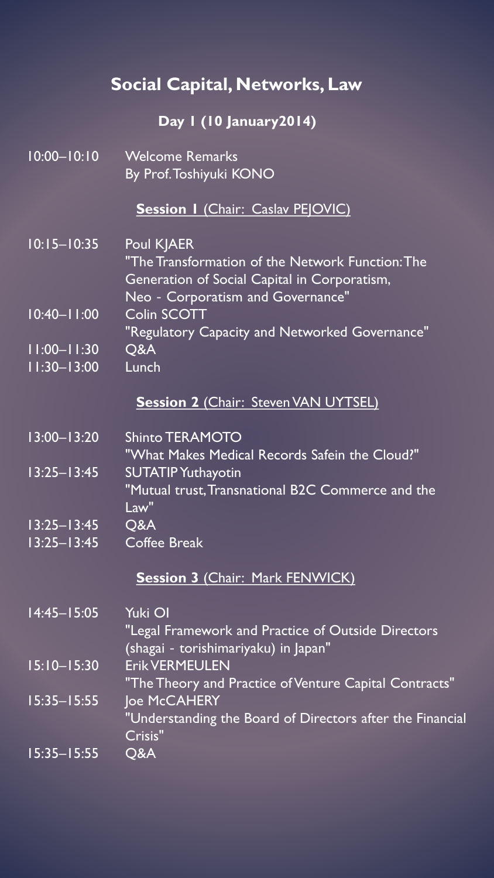# **Social Capital, Networks, Law**

## **Day 1 (10 January2014)**

| $10:00 - 10:10$ | <b>Welcome Remarks</b>                                                                                                                |
|-----------------|---------------------------------------------------------------------------------------------------------------------------------------|
|                 | By Prof. Toshiyuki KONO                                                                                                               |
|                 | <b>Session I (Chair: Caslav PEJOVIC)</b>                                                                                              |
| $10:15 - 10:35$ | <b>Poul KJAER</b>                                                                                                                     |
|                 | "The Transformation of the Network Function: The<br>Generation of Social Capital in Corporatism,<br>Neo - Corporatism and Governance" |
| $10:40 - 1:00$  | <b>Colin SCOTT</b>                                                                                                                    |
|                 | "Regulatory Capacity and Networked Governance"                                                                                        |
| $11:00 - 11:30$ | Q&A                                                                                                                                   |
| $11:30 - 13:00$ | Lunch                                                                                                                                 |
|                 | <b>Session 2 (Chair: Steven VAN UYTSEL)</b>                                                                                           |
| $13:00 - 13:20$ | <b>Shinto TERAMOTO</b>                                                                                                                |
|                 | "What Makes Medical Records Safein the Cloud?"                                                                                        |
| $13:25 - 13:45$ | <b>SUTATIP Yuthayotin</b>                                                                                                             |
|                 | "Mutual trust, Transnational B2C Commerce and the<br>Law"                                                                             |
| $13:25 - 13:45$ | Q&A                                                                                                                                   |
| $13:25 - 13:45$ | <b>Coffee Break</b>                                                                                                                   |
|                 | <b>Session 3 (Chair: Mark FENWICK)</b>                                                                                                |
| $14:45 - 15:05$ | Yuki OI                                                                                                                               |
|                 | "Legal Framework and Practice of Outside Directors                                                                                    |
|                 | (shagai - torishimariyaku) in Japan"                                                                                                  |
| $15:10 - 15:30$ | <b>Erik VERMEULEN</b><br>"The Theory and Practice of Venture Capital Contracts"                                                       |
| $15:35 - 15:55$ | Joe McCAHERY                                                                                                                          |
|                 | "Understanding the Board of Directors after the Financial<br>Crisis"                                                                  |
| $15:35 - 15:55$ | Q&A                                                                                                                                   |